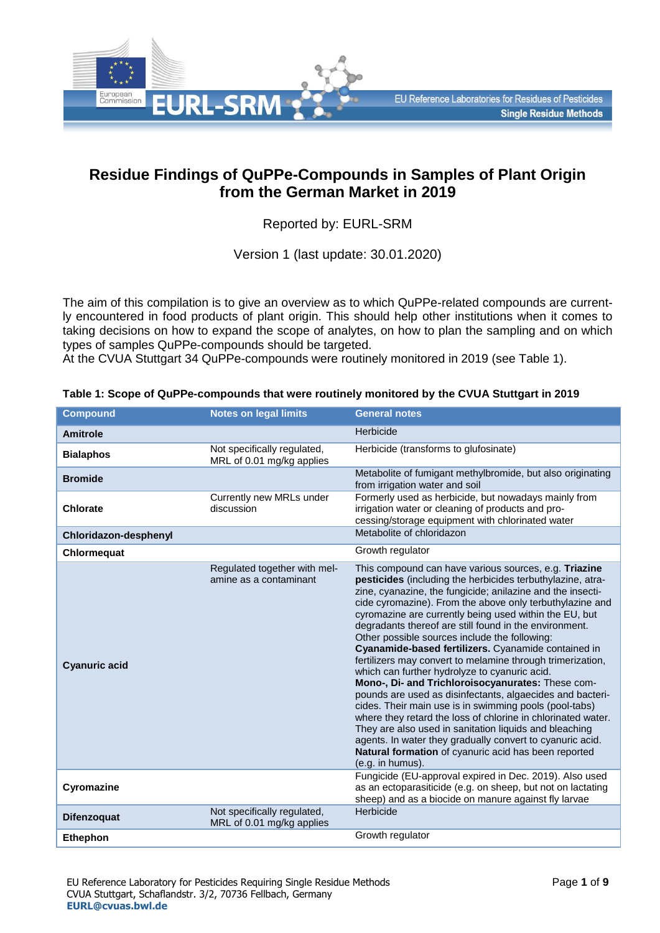

# **Residue Findings of QuPPe-Compounds in Samples of Plant Origin from the German Market in 2019**

# Reported by: EURL-SRM

Version 1 (last update: 30.01.2020)

The aim of this compilation is to give an overview as to which QuPPe-related compounds are currently encountered in food products of plant origin. This should help other institutions when it comes to taking decisions on how to expand the scope of analytes, on how to plan the sampling and on which types of samples QuPPe-compounds should be targeted.

At the CVUA Stuttgart 34 QuPPe-compounds were routinely monitored in 2019 (see Table 1).

| <b>Compound</b>       | <b>Notes on legal limits</b>                             | <b>General notes</b>                                                                                                                                                                                                                                                                                                                                                                                                                                                                                                                                                                                                                                                                                                                                                                                                                                                                                                                                                                                                                    |
|-----------------------|----------------------------------------------------------|-----------------------------------------------------------------------------------------------------------------------------------------------------------------------------------------------------------------------------------------------------------------------------------------------------------------------------------------------------------------------------------------------------------------------------------------------------------------------------------------------------------------------------------------------------------------------------------------------------------------------------------------------------------------------------------------------------------------------------------------------------------------------------------------------------------------------------------------------------------------------------------------------------------------------------------------------------------------------------------------------------------------------------------------|
| <b>Amitrole</b>       |                                                          | Herbicide                                                                                                                                                                                                                                                                                                                                                                                                                                                                                                                                                                                                                                                                                                                                                                                                                                                                                                                                                                                                                               |
| <b>Bialaphos</b>      | Not specifically regulated,<br>MRL of 0.01 mg/kg applies | Herbicide (transforms to glufosinate)                                                                                                                                                                                                                                                                                                                                                                                                                                                                                                                                                                                                                                                                                                                                                                                                                                                                                                                                                                                                   |
| <b>Bromide</b>        |                                                          | Metabolite of fumigant methylbromide, but also originating<br>from irrigation water and soil                                                                                                                                                                                                                                                                                                                                                                                                                                                                                                                                                                                                                                                                                                                                                                                                                                                                                                                                            |
| <b>Chlorate</b>       | Currently new MRLs under<br>discussion                   | Formerly used as herbicide, but nowadays mainly from<br>irrigation water or cleaning of products and pro-<br>cessing/storage equipment with chlorinated water                                                                                                                                                                                                                                                                                                                                                                                                                                                                                                                                                                                                                                                                                                                                                                                                                                                                           |
| Chloridazon-desphenyl |                                                          | Metabolite of chloridazon                                                                                                                                                                                                                                                                                                                                                                                                                                                                                                                                                                                                                                                                                                                                                                                                                                                                                                                                                                                                               |
| Chlormequat           |                                                          | Growth regulator                                                                                                                                                                                                                                                                                                                                                                                                                                                                                                                                                                                                                                                                                                                                                                                                                                                                                                                                                                                                                        |
| <b>Cyanuric acid</b>  | Regulated together with mel-<br>amine as a contaminant   | This compound can have various sources, e.g. Triazine<br>pesticides (including the herbicides terbuthylazine, atra-<br>zine, cyanazine, the fungicide; anilazine and the insecti-<br>cide cyromazine). From the above only terbuthylazine and<br>cyromazine are currently being used within the EU, but<br>degradants thereof are still found in the environment.<br>Other possible sources include the following:<br>Cyanamide-based fertilizers. Cyanamide contained in<br>fertilizers may convert to melamine through trimerization,<br>which can further hydrolyze to cyanuric acid.<br>Mono-, Di- and Trichloroisocyanurates: These com-<br>pounds are used as disinfectants, algaecides and bacteri-<br>cides. Their main use is in swimming pools (pool-tabs)<br>where they retard the loss of chlorine in chlorinated water.<br>They are also used in sanitation liquids and bleaching<br>agents. In water they gradually convert to cyanuric acid.<br>Natural formation of cyanuric acid has been reported<br>(e.g. in humus). |
| Cyromazine            |                                                          | Fungicide (EU-approval expired in Dec. 2019). Also used<br>as an ectoparasiticide (e.g. on sheep, but not on lactating<br>sheep) and as a biocide on manure against fly larvae                                                                                                                                                                                                                                                                                                                                                                                                                                                                                                                                                                                                                                                                                                                                                                                                                                                          |
| <b>Difenzoquat</b>    | Not specifically regulated,<br>MRL of 0.01 mg/kg applies | Herbicide                                                                                                                                                                                                                                                                                                                                                                                                                                                                                                                                                                                                                                                                                                                                                                                                                                                                                                                                                                                                                               |
| <b>Ethephon</b>       |                                                          | Growth regulator                                                                                                                                                                                                                                                                                                                                                                                                                                                                                                                                                                                                                                                                                                                                                                                                                                                                                                                                                                                                                        |

**Table 1: Scope of QuPPe-compounds that were routinely monitored by the CVUA Stuttgart in 2019**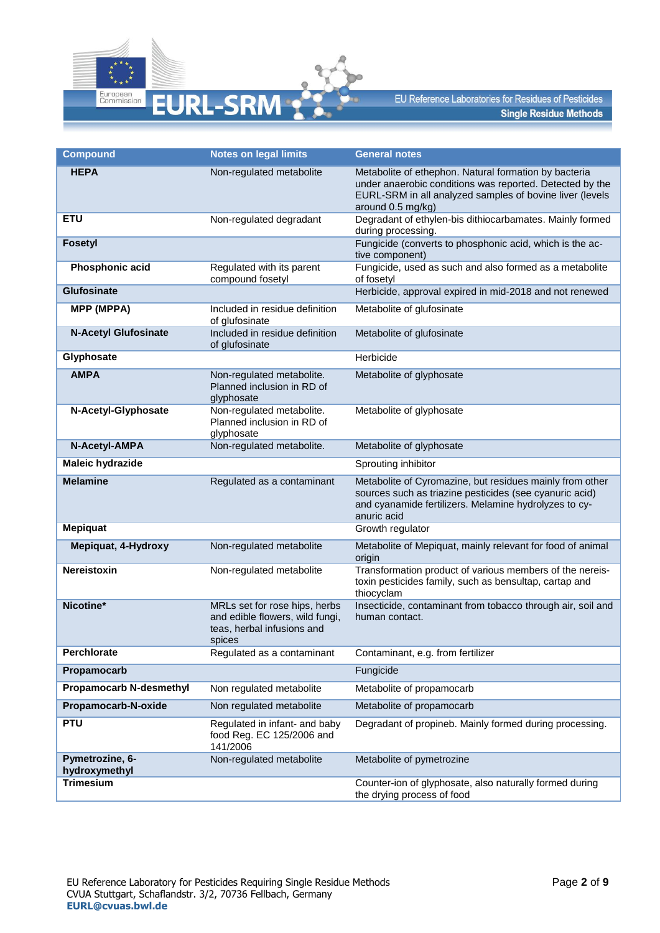

| <b>Compound</b>                  | <b>Notes on legal limits</b>                                                                             | <b>General notes</b>                                                                                                                                                                               |
|----------------------------------|----------------------------------------------------------------------------------------------------------|----------------------------------------------------------------------------------------------------------------------------------------------------------------------------------------------------|
| <b>HEPA</b>                      | Non-regulated metabolite                                                                                 | Metabolite of ethephon. Natural formation by bacteria<br>under anaerobic conditions was reported. Detected by the<br>EURL-SRM in all analyzed samples of bovine liver (levels<br>around 0.5 mg/kg) |
| <b>ETU</b>                       | Non-regulated degradant                                                                                  | Degradant of ethylen-bis dithiocarbamates. Mainly formed<br>during processing.                                                                                                                     |
| <b>Fosetyl</b>                   |                                                                                                          | Fungicide (converts to phosphonic acid, which is the ac-<br>tive component)                                                                                                                        |
| Phosphonic acid                  | Regulated with its parent<br>compound fosetyl                                                            | Fungicide, used as such and also formed as a metabolite<br>of fosetyl                                                                                                                              |
| <b>Glufosinate</b>               |                                                                                                          | Herbicide, approval expired in mid-2018 and not renewed                                                                                                                                            |
| <b>MPP (MPPA)</b>                | Included in residue definition<br>of glufosinate                                                         | Metabolite of glufosinate                                                                                                                                                                          |
| <b>N-Acetyl Glufosinate</b>      | Included in residue definition<br>of glufosinate                                                         | Metabolite of glufosinate                                                                                                                                                                          |
| Glyphosate                       |                                                                                                          | Herbicide                                                                                                                                                                                          |
| <b>AMPA</b>                      | Non-regulated metabolite.<br>Planned inclusion in RD of<br>glyphosate                                    | Metabolite of glyphosate                                                                                                                                                                           |
| N-Acetyl-Glyphosate              | Non-regulated metabolite.<br>Planned inclusion in RD of<br>glyphosate                                    | Metabolite of glyphosate                                                                                                                                                                           |
| N-Acetyl-AMPA                    | Non-regulated metabolite.                                                                                | Metabolite of glyphosate                                                                                                                                                                           |
| <b>Maleic hydrazide</b>          |                                                                                                          | Sprouting inhibitor                                                                                                                                                                                |
| <b>Melamine</b>                  | Regulated as a contaminant                                                                               | Metabolite of Cyromazine, but residues mainly from other<br>sources such as triazine pesticides (see cyanuric acid)<br>and cyanamide fertilizers. Melamine hydrolyzes to cy-<br>anuric acid        |
| <b>Mepiquat</b>                  |                                                                                                          | Growth regulator                                                                                                                                                                                   |
| Mepiquat, 4-Hydroxy              | Non-regulated metabolite                                                                                 | Metabolite of Mepiquat, mainly relevant for food of animal<br>origin                                                                                                                               |
| Nereistoxin                      | Non-regulated metabolite                                                                                 | Transformation product of various members of the nereis-<br>toxin pesticides family, such as bensultap, cartap and<br>thiocyclam                                                                   |
| Nicotine*                        | MRLs set for rose hips, herbs<br>and edible flowers, wild fungi,<br>teas, herbal infusions and<br>spices | Insecticide, contaminant from tobacco through air, soil and<br>human contact.                                                                                                                      |
| Perchlorate                      | Regulated as a contaminant                                                                               | Contaminant, e.g. from fertilizer                                                                                                                                                                  |
| Propamocarb                      |                                                                                                          | Fungicide                                                                                                                                                                                          |
| <b>Propamocarb N-desmethyl</b>   | Non regulated metabolite                                                                                 | Metabolite of propamocarb                                                                                                                                                                          |
| Propamocarb-N-oxide              | Non regulated metabolite                                                                                 | Metabolite of propamocarb                                                                                                                                                                          |
| <b>PTU</b>                       | Regulated in infant- and baby<br>food Reg. EC 125/2006 and<br>141/2006                                   | Degradant of propineb. Mainly formed during processing.                                                                                                                                            |
| Pymetrozine, 6-<br>hydroxymethyl | Non-regulated metabolite                                                                                 | Metabolite of pymetrozine                                                                                                                                                                          |
| <b>Trimesium</b>                 |                                                                                                          | Counter-ion of glyphosate, also naturally formed during<br>the drying process of food                                                                                                              |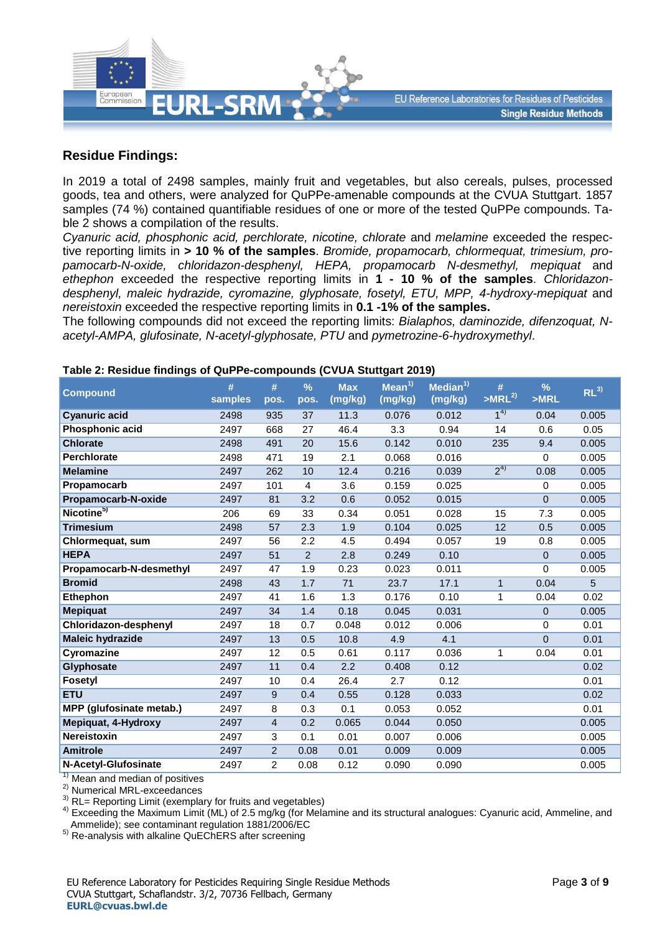

## **Residue Findings:**

In 2019 a total of 2498 samples, mainly fruit and vegetables, but also cereals, pulses, processed goods, tea and others, were analyzed for QuPPe-amenable compounds at the CVUA Stuttgart. 1857 samples (74 %) contained quantifiable residues of one or more of the tested QuPPe compounds. Table 2 shows a compilation of the results.

*Cyanuric acid, phosphonic acid, perchlorate, nicotine, chlorate* and *melamine* exceeded the respective reporting limits in **> 10 % of the samples**. *Bromide, propamocarb, chlormequat, trimesium, propamocarb-N-oxide, chloridazon-desphenyl, HEPA, propamocarb N-desmethyl, mepiquat* and *ethephon* exceeded the respective reporting limits in **1 - 10 % of the samples**. *Chloridazondesphenyl, maleic hydrazide, cyromazine, glyphosate, fosetyl, ETU, MPP, 4-hydroxy-mepiquat* and *nereistoxin* exceeded the respective reporting limits in **0.1 -1% of the samples.**

The following compounds did not exceed the reporting limits: *Bialaphos, daminozide, difenzoquat, Nacetyl-AMPA, glufosinate, N-acetyl-glyphosate, PTU* and *pymetrozine-6-hydroxymethyl*.

| <b>Compound</b>                                                                                                  | #<br>samples | #<br>pos.      | $\frac{9}{6}$<br>pos. | <b>Max</b><br>(mg/kg) | Mean <sup>1</sup><br>(mg/kg) | Median $1$<br>(mg/kg) | #<br>$>MRL^{2}$ | %<br>>MRL      | $RL^{3)}$       |
|------------------------------------------------------------------------------------------------------------------|--------------|----------------|-----------------------|-----------------------|------------------------------|-----------------------|-----------------|----------------|-----------------|
| <b>Cyanuric acid</b>                                                                                             | 2498         | 935            | 37                    | 11.3                  | 0.076                        | 0.012                 | 1 <sup>4</sup>  | 0.04           | 0.005           |
| Phosphonic acid                                                                                                  | 2497         | 668            | 27                    | 46.4                  | 3.3                          | 0.94                  | 14              | 0.6            | 0.05            |
| <b>Chlorate</b>                                                                                                  | 2498         | 491            | 20                    | 15.6                  | 0.142                        | 0.010                 | 235             | 9.4            | 0.005           |
| <b>Perchlorate</b>                                                                                               | 2498         | 471            | 19                    | 2.1                   | 0.068                        | 0.016                 |                 | $\mathbf 0$    | 0.005           |
| <b>Melamine</b>                                                                                                  | 2497         | 262            | 10                    | 12.4                  | 0.216                        | 0.039                 | $2^{4)}$        | 0.08           | 0.005           |
| Propamocarb                                                                                                      | 2497         | 101            | 4                     | 3.6                   | 0.159                        | 0.025                 |                 | $\mathbf 0$    | 0.005           |
| Propamocarb-N-oxide                                                                                              | 2497         | 81             | 3.2                   | 0.6                   | 0.052                        | 0.015                 |                 | $\Omega$       | 0.005           |
| Nicotine <sup>5)</sup>                                                                                           | 206          | 69             | 33                    | 0.34                  | 0.051                        | 0.028                 | 15              | 7.3            | 0.005           |
| <b>Trimesium</b>                                                                                                 | 2498         | 57             | 2.3                   | 1.9                   | 0.104                        | 0.025                 | 12              | 0.5            | 0.005           |
| Chlormequat, sum                                                                                                 | 2497         | 56             | 2.2                   | 4.5                   | 0.494                        | 0.057                 | 19              | 0.8            | 0.005           |
| <b>HEPA</b>                                                                                                      | 2497         | 51             | $\overline{2}$        | 2.8                   | 0.249                        | 0.10                  |                 | $\mathbf{0}$   | 0.005           |
| Propamocarb-N-desmethyl                                                                                          | 2497         | 47             | 1.9                   | 0.23                  | 0.023                        | 0.011                 |                 | 0              | 0.005           |
| <b>Bromid</b>                                                                                                    | 2498         | 43             | 1.7                   | 71                    | 23.7                         | 17.1                  | $\mathbf{1}$    | 0.04           | $5\phantom{.0}$ |
| <b>Ethephon</b>                                                                                                  | 2497         | 41             | 1.6                   | 1.3                   | 0.176                        | 0.10                  | 1               | 0.04           | 0.02            |
| <b>Mepiquat</b>                                                                                                  | 2497         | 34             | 1.4                   | 0.18                  | 0.045                        | 0.031                 |                 | $\Omega$       | 0.005           |
| Chloridazon-desphenyl                                                                                            | 2497         | 18             | 0.7                   | 0.048                 | 0.012                        | 0.006                 |                 | 0              | 0.01            |
| <b>Maleic hydrazide</b>                                                                                          | 2497         | 13             | 0.5                   | 10.8                  | 4.9                          | 4.1                   |                 | $\overline{0}$ | 0.01            |
| Cyromazine                                                                                                       | 2497         | 12             | 0.5                   | 0.61                  | 0.117                        | 0.036                 | 1               | 0.04           | 0.01            |
| Glyphosate                                                                                                       | 2497         | 11             | 0.4                   | 2.2                   | 0.408                        | 0.12                  |                 |                | 0.02            |
| <b>Fosetyl</b>                                                                                                   | 2497         | 10             | 0.4                   | 26.4                  | 2.7                          | 0.12                  |                 |                | 0.01            |
| <b>ETU</b>                                                                                                       | 2497         | 9              | 0.4                   | 0.55                  | 0.128                        | 0.033                 |                 |                | 0.02            |
| MPP (glufosinate metab.)                                                                                         | 2497         | 8              | 0.3                   | 0.1                   | 0.053                        | 0.052                 |                 |                | 0.01            |
| Mepiquat, 4-Hydroxy                                                                                              | 2497         | 4              | 0.2                   | 0.065                 | 0.044                        | 0.050                 |                 |                | 0.005           |
| <b>Nereistoxin</b>                                                                                               | 2497         | 3              | 0.1                   | 0.01                  | 0.007                        | 0.006                 |                 |                | 0.005           |
| <b>Amitrole</b>                                                                                                  | 2497         | $\overline{c}$ | 0.08                  | 0.01                  | 0.009                        | 0.009                 |                 |                | 0.005           |
| N-Acetyl-Glufosinate<br>$1)$ Max and a set of the set of $\alpha$ and $\alpha$ is the set of the set of $\alpha$ | 2497         | $\overline{2}$ | 0.08                  | 0.12                  | 0.090                        | 0.090                 |                 |                | 0.005           |

#### **Table 2: Residue findings of QuPPe-compounds (CVUA Stuttgart 2019)**

Mean and median of positives

2) Numerical MRL-exceedances

<sup>3)</sup> RL= Reporting Limit (exemplary for fruits and vegetables)

<sup>4)</sup> Exceeding the Maximum Limit (ML) of 2.5 mg/kg (for Melamine and its structural analogues: Cyanuric acid, Ammeline, and Ammelide); see contaminant regulation 1881/2006/EC

5) Re-analysis with alkaline QuEChERS after screening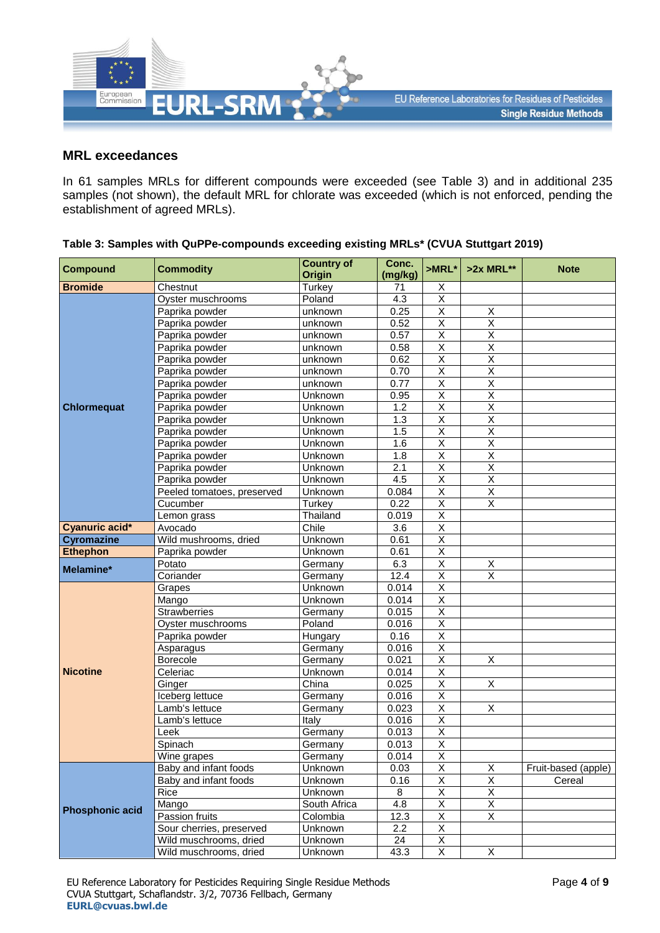

### **MRL exceedances**

In 61 samples MRLs for different compounds were exceeded (see Table 3) and in additional 235 samples (not shown), the default MRL for chlorate was exceeded (which is not enforced, pending the establishment of agreed MRLs).

| <b>Compound</b>        | <b>Commodity</b>           | <b>Country of</b> | Conc.   | $>MRL*$                 | $>2x$ MRL**             | <b>Note</b>         |
|------------------------|----------------------------|-------------------|---------|-------------------------|-------------------------|---------------------|
|                        |                            | <b>Origin</b>     | (mg/kg) |                         |                         |                     |
| <b>Bromide</b>         | Chestnut                   | Turkey            | 71      | Х                       |                         |                     |
|                        | Oyster muschrooms          | Poland            | 4.3     | X                       |                         |                     |
|                        | Paprika powder             | unknown           | 0.25    | $\overline{X}$          | Χ                       |                     |
|                        | Paprika powder             | unknown           | 0.52    | $\overline{\mathsf{x}}$ | $\overline{\mathsf{x}}$ |                     |
|                        | Paprika powder             | unknown           | 0.57    | $\overline{\mathsf{x}}$ | $\overline{\mathsf{x}}$ |                     |
|                        | Paprika powder             | unknown           | 0.58    | $\overline{\mathsf{x}}$ | $\overline{\mathsf{x}}$ |                     |
|                        | Paprika powder             | unknown           | 0.62    | Χ                       | $\overline{\mathsf{x}}$ |                     |
|                        | Paprika powder             | unknown           | 0.70    | $\overline{\mathsf{x}}$ | $\overline{\mathsf{x}}$ |                     |
|                        | Paprika powder             | unknown           | 0.77    | $\overline{\mathsf{x}}$ | $\overline{\mathsf{X}}$ |                     |
|                        | Paprika powder             | Unknown           | 0.95    | $\overline{\mathsf{x}}$ | $\overline{\mathsf{x}}$ |                     |
| <b>Chlormequat</b>     | Paprika powder             | Unknown           | 1.2     | $\overline{X}$          | $\overline{\mathsf{x}}$ |                     |
|                        | Paprika powder             | Unknown           | 1.3     | $\sf X$                 | $\overline{\mathsf{x}}$ |                     |
|                        | Paprika powder             | Unknown           | 1.5     | $\overline{X}$          | $\overline{\mathsf{x}}$ |                     |
|                        | Paprika powder             | Unknown           | 1.6     | $\overline{\mathsf{x}}$ | $\overline{\mathsf{x}}$ |                     |
|                        | Paprika powder             | Unknown           | 1.8     | $\overline{\mathsf{x}}$ | $\overline{\mathsf{x}}$ |                     |
|                        | Paprika powder             | Unknown           | 2.1     | $\overline{\mathsf{x}}$ | $\overline{\mathsf{x}}$ |                     |
|                        | Paprika powder             | Unknown           | 4.5     | $\overline{X}$          | $\overline{\mathsf{X}}$ |                     |
|                        | Peeled tomatoes, preserved | Unknown           | 0.084   | $\overline{\mathsf{x}}$ | $\overline{X}$          |                     |
|                        | Cucumber                   | Turkey            | 0.22    | $\overline{X}$          | $\overline{\mathsf{x}}$ |                     |
|                        | Lemon grass                | Thailand          | 0.019   | $\overline{\mathsf{x}}$ |                         |                     |
| Cyanuric acid*         | Avocado                    | Chile             | 3.6     | $\overline{\mathsf{x}}$ |                         |                     |
| <b>Cyromazine</b>      | Wild mushrooms, dried      | Unknown           | 0.61    | $\overline{X}$          |                         |                     |
| <b>Ethephon</b>        | Paprika powder             | Unknown           | 0.61    | Χ                       |                         |                     |
|                        | Potato                     | Germany           | 6.3     | $\overline{\mathsf{x}}$ | X                       |                     |
| Melamine*              | Coriander                  | Germany           | 12.4    | $\overline{\mathsf{x}}$ | $\overline{\mathsf{x}}$ |                     |
|                        | Grapes                     | Unknown           | 0.014   | $\overline{\mathsf{x}}$ |                         |                     |
|                        | Mango                      | Unknown           | 0.014   | $\sf X$                 |                         |                     |
|                        | <b>Strawberries</b>        | Germany           | 0.015   | Χ                       |                         |                     |
|                        | Oyster muschrooms          | Poland            | 0.016   | $\overline{X}$          |                         |                     |
|                        | Paprika powder             | Hungary           | 0.16    | $\overline{\mathsf{x}}$ |                         |                     |
|                        | Asparagus                  | Germany           | 0.016   | $\overline{\mathsf{x}}$ |                         |                     |
|                        | Borecole                   | Germany           | 0.021   | $\overline{\mathsf{X}}$ | $\overline{\mathsf{X}}$ |                     |
| <b>Nicotine</b>        | Celeriac                   | Unknown           | 0.014   | Χ                       |                         |                     |
|                        | Ginger                     | China             | 0.025   | $\overline{\mathsf{x}}$ | X                       |                     |
|                        | Iceberg lettuce            | Germany           | 0.016   | $\overline{\mathsf{X}}$ |                         |                     |
|                        | Lamb's lettuce             | Germany           | 0.023   | $\overline{\mathsf{x}}$ | $\overline{\mathsf{X}}$ |                     |
|                        | Lamb's lettuce             | Italy             | 0.016   | $\overline{\mathsf{x}}$ |                         |                     |
|                        | Leek                       | Germany           | 0.013   | $\overline{\mathsf{X}}$ |                         |                     |
|                        | Spinach                    | Germany           | 0.013   | $\overline{X}$          |                         |                     |
|                        | Wine grapes                | Germany           | 0.014   | $\overline{\mathsf{X}}$ |                         |                     |
|                        | Baby and infant foods      | Unknown           | 0.03    | $\overline{\mathsf{x}}$ | X                       | Fruit-based (apple) |
|                        | Baby and infant foods      | Unknown           | 0.16    | $\overline{\mathsf{X}}$ | $\overline{\mathsf{x}}$ | Cereal              |
|                        | Rice                       | Unknown           | 8       | $\overline{X}$          | $\overline{X}$          |                     |
|                        | Mango                      | South Africa      | 4.8     | X                       | X                       |                     |
| <b>Phosphonic acid</b> | Passion fruits             | Colombia          | 12.3    | $\overline{\mathsf{X}}$ | $\overline{X}$          |                     |
|                        | Sour cherries, preserved   | Unknown           | 2.2     | $\overline{\mathsf{X}}$ |                         |                     |
|                        | Wild muschrooms, dried     | Unknown           | 24      | $\overline{X}$          |                         |                     |
|                        | Wild muschrooms, dried     | Unknown           | 43.3    | $\overline{X}$          | $\overline{X}$          |                     |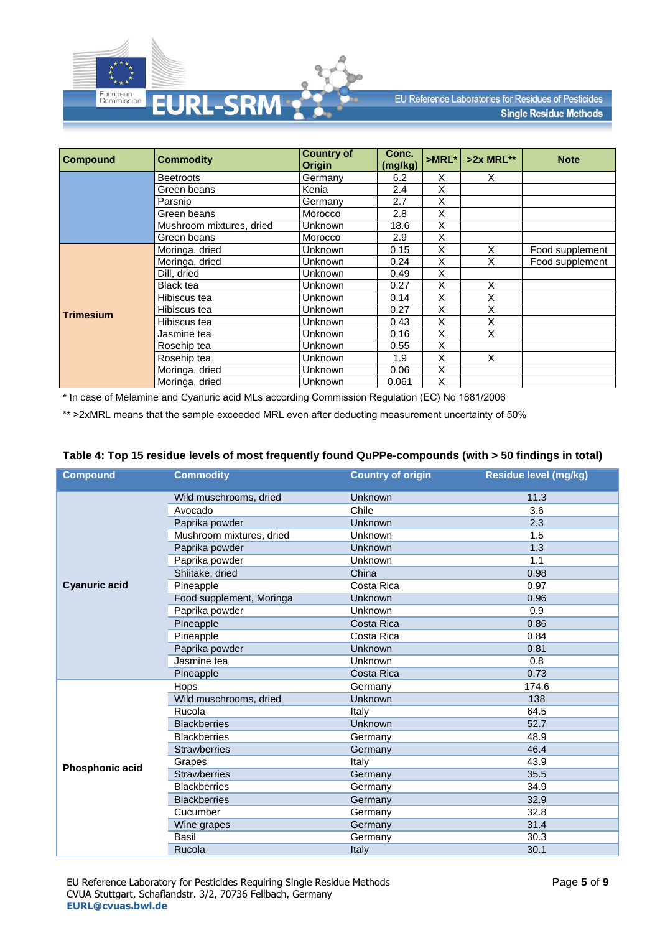

| <b>Compound</b>  | <b>Commodity</b>         | <b>Country of</b><br><b>Origin</b> | Conc.<br>(mg/kg) | $>MRL^*$ | $>2x$ MRL** | <b>Note</b>     |
|------------------|--------------------------|------------------------------------|------------------|----------|-------------|-----------------|
|                  | Beetroots                | Germany                            | 6.2              | X        | X           |                 |
|                  | Green beans              | Kenia                              | 2.4              | Χ        |             |                 |
|                  | Parsnip                  | Germany                            | 2.7              | X        |             |                 |
|                  | Green beans              | Morocco                            | 2.8              | X        |             |                 |
|                  | Mushroom mixtures, dried | Unknown                            | 18.6             | X        |             |                 |
|                  | Green beans              | Morocco                            | 2.9              | X        |             |                 |
|                  | Moringa, dried           | <b>Unknown</b>                     | 0.15             | X        | X           | Food supplement |
|                  | Moringa, dried           | <b>Unknown</b>                     | 0.24             | X        | X           | Food supplement |
|                  | Dill, dried              | Unknown                            | 0.49             | X        |             |                 |
|                  | Black tea                | Unknown                            | 0.27             | X        | X           |                 |
|                  | Hibiscus tea             | Unknown                            | 0.14             | X        | X           |                 |
| <b>Trimesium</b> | Hibiscus tea             | <b>Unknown</b>                     | 0.27             | X        | X           |                 |
|                  | Hibiscus tea             | <b>Unknown</b>                     | 0.43             | X        | X           |                 |
|                  | Jasmine tea              | <b>Unknown</b>                     | 0.16             | X        | X           |                 |
|                  | Rosehip tea              | Unknown                            | 0.55             | X        |             |                 |
|                  | Rosehip tea              | Unknown                            | 1.9              | X        | X           |                 |
|                  | Moringa, dried           | Unknown                            | 0.06             | X        |             |                 |
|                  | Moringa, dried           | Unknown                            | 0.061            | X        |             |                 |

\* In case of Melamine and Cyanuric acid MLs according Commission Regulation (EC) No 1881/2006

\*\* >2xMRL means that the sample exceeded MRL even after deducting measurement uncertainty of 50%

| <b>Compound</b>      | <b>Commodity</b>         | <b>Country of origin</b> | Residue level (mg/kg) |
|----------------------|--------------------------|--------------------------|-----------------------|
|                      | Wild muschrooms, dried   | Unknown                  | 11.3                  |
|                      | Avocado                  | Chile                    | 3.6                   |
|                      | Paprika powder           | <b>Unknown</b>           | 2.3                   |
|                      | Mushroom mixtures, dried | Unknown                  | 1.5                   |
|                      | Paprika powder           | Unknown                  | 1.3                   |
|                      | Paprika powder           | Unknown                  | 1.1                   |
|                      | Shiitake, dried          | China                    | 0.98                  |
| <b>Cyanuric acid</b> | Pineapple                | Costa Rica               | 0.97                  |
|                      | Food supplement, Moringa | <b>Unknown</b>           | 0.96                  |
|                      | Paprika powder           | Unknown                  | 0.9                   |
|                      | Pineapple                | Costa Rica               | 0.86                  |
|                      | Pineapple<br>Costa Rica  |                          | 0.84                  |
|                      | Paprika powder           | Unknown                  | 0.81                  |
|                      | Jasmine tea              | <b>Unknown</b>           | 0.8                   |
|                      | Pineapple                | Costa Rica               | 0.73                  |
|                      | <b>Hops</b>              | Germany                  | 174.6                 |
|                      | Wild muschrooms, dried   | Unknown                  | 138                   |
|                      | Rucola                   | Italy                    | 64.5                  |
|                      | <b>Blackberries</b>      | Unknown                  | 52.7                  |
|                      | <b>Blackberries</b>      | Germany                  | 48.9                  |
|                      | <b>Strawberries</b>      | Germany                  | 46.4                  |
| Phosphonic acid      | Grapes                   | Italy                    | 43.9                  |
|                      | <b>Strawberries</b>      | Germany                  | 35.5                  |
|                      | <b>Blackberries</b>      | Germany                  | 34.9                  |
|                      | <b>Blackberries</b>      | Germany                  | 32.9                  |
|                      | Cucumber                 | Germany                  | 32.8                  |
|                      | Wine grapes              | Germany                  | 31.4                  |
|                      | Basil                    | Germany                  | 30.3                  |
|                      | Rucola                   | <b>Italy</b>             | 30.1                  |

#### **Table 4: Top 15 residue levels of most frequently found QuPPe-compounds (with > 50 findings in total)**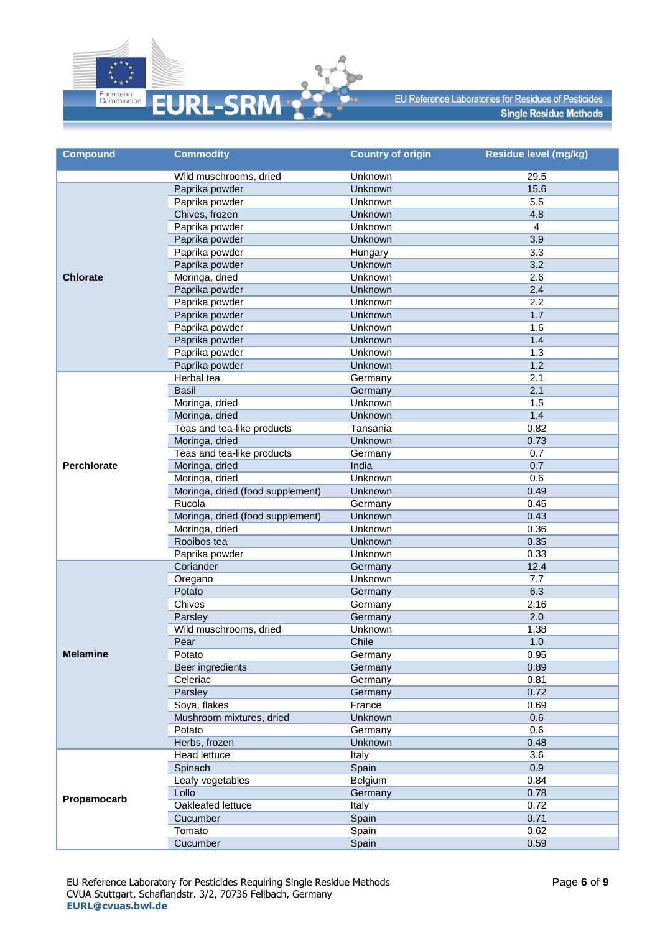

| <b>Compound</b>    | <b>Commodity</b>                 | <b>Country of origin</b> | Residue level (mg/kg) |
|--------------------|----------------------------------|--------------------------|-----------------------|
|                    | Wild muschrooms, dried           | Unknown                  | 29.5                  |
|                    | Paprika powder                   | Unknown                  | 15.6                  |
|                    | Paprika powder                   | Unknown                  | 5.5                   |
|                    | Chives, frozen                   | Unknown                  | 4.8                   |
|                    | Paprika powder                   | Unknown                  | $\overline{4}$        |
| <b>Chlorate</b>    | Paprika powder                   | Unknown                  | 3.9                   |
|                    | Paprika powder                   | Hungary                  | 3.3                   |
|                    | Paprika powder                   | Unknown                  | 3.2                   |
|                    | Moringa, dried                   | Unknown                  | 2.6                   |
|                    | Paprika powder                   | Unknown                  | 2.4                   |
|                    | Paprika powder                   | Unknown                  | 2.2                   |
|                    | Paprika powder                   | Unknown                  | 1.7                   |
|                    | Paprika powder                   | Unknown                  | 1.6                   |
|                    | Paprika powder                   | Unknown                  | 1.4                   |
|                    | Paprika powder                   | Unknown                  | 1.3                   |
|                    | Paprika powder                   | Unknown                  | 1.2                   |
|                    | Herbal tea                       | Germany                  | 2.1                   |
|                    | <b>Basil</b>                     | Germany                  | 2.1                   |
|                    | Moringa, dried                   | Unknown                  | 1.5                   |
|                    | Moringa, dried                   | Unknown                  | 1.4                   |
|                    | Teas and tea-like products       | Tansania                 | 0.82                  |
|                    | Moringa, dried                   | Unknown                  | 0.73                  |
|                    | Teas and tea-like products       | Germany                  | 0.7                   |
| <b>Perchlorate</b> | Moringa, dried                   | India                    | 0.7                   |
|                    | Moringa, dried                   | Unknown                  | 0.6                   |
|                    | Moringa, dried (food supplement) | Unknown                  | 0.49                  |
|                    | Rucola                           | Germany                  | 0.45                  |
|                    | Moringa, dried (food supplement) | Unknown                  | 0.43                  |
|                    | Moringa, dried                   | Unknown                  | 0.36                  |
|                    | Rooibos tea                      | Unknown                  | 0.35                  |
|                    | Paprika powder                   | Unknown                  | 0.33                  |
|                    | Coriander                        | Germany                  | 12.4                  |
|                    | Oregano                          | Unknown                  | 7.7                   |
|                    | Potato<br>Chives                 | Germany                  | 6.3                   |
|                    |                                  | Germany                  | 2.16                  |
|                    | Parsley                          | Germany                  | 2.0                   |
|                    | Wild muschrooms, dried           | Unknown<br>Chile         | 1.38<br>1.0           |
| <b>Melamine</b>    | Pear<br>Potato                   |                          | 0.95                  |
|                    | Beer ingredients                 | Germany<br>Germany       | 0.89                  |
|                    | Celeriac                         | Germany                  | 0.81                  |
|                    | Parsley                          | Germany                  | 0.72                  |
|                    | Soya, flakes                     | France                   | 0.69                  |
|                    | Mushroom mixtures, dried         | Unknown                  | 0.6                   |
|                    | Potato                           | Germany                  | 0.6                   |
|                    | Herbs, frozen                    | Unknown                  | 0.48                  |
|                    | Head lettuce                     | Italy                    | 3.6                   |
|                    | Spinach                          | Spain                    | 0.9                   |
|                    | Leafy vegetables                 | Belgium                  | 0.84                  |
|                    | Lollo                            | Germany                  | 0.78                  |
| Propamocarb        | Oakleafed lettuce                | Italy                    | 0.72                  |
|                    | Cucumber                         | Spain                    | 0.71                  |
|                    | Tomato                           | Spain                    | 0.62                  |
|                    | Cucumber                         | Spain                    | 0.59                  |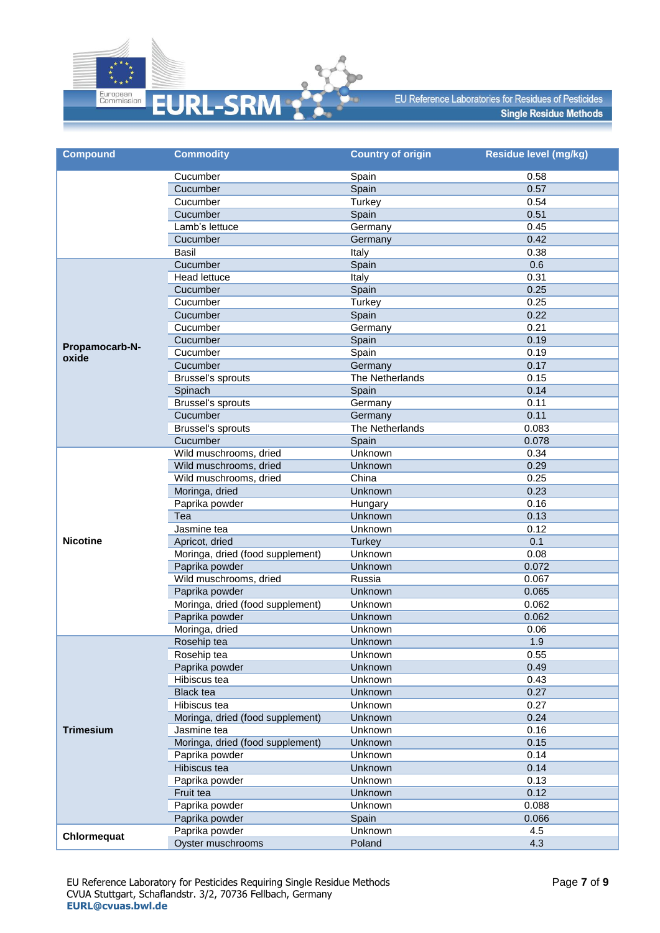

| <b>Compound</b>  | <b>Commodity</b>                         | <b>Country of origin</b> | Residue level (mg/kg) |
|------------------|------------------------------------------|--------------------------|-----------------------|
|                  | Cucumber                                 | Spain                    | 0.58                  |
|                  | Cucumber                                 | Spain                    | 0.57                  |
|                  | Cucumber                                 | Turkey                   | 0.54                  |
|                  | Cucumber                                 | Spain                    | 0.51                  |
|                  | Lamb's lettuce                           | Germany                  | 0.45                  |
|                  | Cucumber                                 | Germany                  | 0.42                  |
|                  | Basil                                    | Italy                    | 0.38                  |
|                  | Cucumber                                 | Spain                    | 0.6                   |
|                  | <b>Head lettuce</b>                      | Italy                    | 0.31                  |
|                  | Cucumber                                 | Spain                    | 0.25                  |
|                  | Cucumber                                 | <b>Turkey</b>            | 0.25                  |
|                  | Cucumber                                 | Spain                    | 0.22                  |
|                  | Cucumber                                 | Germany                  | 0.21                  |
| Propamocarb-N-   | Cucumber                                 | Spain                    | 0.19                  |
| oxide            | Cucumber                                 | Spain                    | 0.19                  |
|                  | Cucumber                                 | Germany                  | 0.17                  |
|                  | <b>Brussel's sprouts</b>                 | The Netherlands          | 0.15                  |
|                  | Spinach                                  | Spain                    | 0.14                  |
|                  | Brussel's sprouts                        | Germany                  | 0.11                  |
|                  | Cucumber                                 | Germany                  | 0.11                  |
|                  | Brussel's sprouts                        | The Netherlands          | 0.083                 |
|                  | Cucumber                                 | Spain                    | 0.078                 |
|                  | Wild muschrooms, dried                   | Unknown                  | 0.34                  |
|                  | Wild muschrooms, dried                   | Unknown                  | 0.29<br>0.25          |
|                  | Wild muschrooms, dried<br>Moringa, dried | China                    | 0.23                  |
|                  |                                          | Unknown                  | 0.16                  |
|                  | Paprika powder<br>Tea                    | Hungary<br>Unknown       | 0.13                  |
|                  | Jasmine tea                              | Unknown                  | 0.12                  |
| <b>Nicotine</b>  | Apricot, dried                           | <b>Turkey</b>            | 0.1                   |
|                  | Moringa, dried (food supplement)         | Unknown                  | 0.08                  |
|                  | Paprika powder                           | Unknown                  | 0.072                 |
|                  | Wild muschrooms, dried                   | Russia                   | 0.067                 |
|                  | Paprika powder                           | Unknown                  | 0.065                 |
|                  | Moringa, dried (food supplement)         | Unknown                  | 0.062                 |
|                  | Paprika powder                           | Unknown                  | 0.062                 |
|                  | Moringa, dried                           | Unknown                  | 0.06                  |
|                  | Rosehip tea                              | Unknown                  | 1.9                   |
|                  | Rosehip tea                              | Unknown                  | 0.55                  |
|                  | Paprika powder                           | Unknown                  | 0.49                  |
|                  | Hibiscus tea                             | Unknown                  | 0.43                  |
|                  | <b>Black tea</b>                         | Unknown                  | 0.27                  |
|                  | Hibiscus tea                             | Unknown                  | 0.27                  |
|                  | Moringa, dried (food supplement)         | Unknown                  | 0.24                  |
| <b>Trimesium</b> | Jasmine tea                              | Unknown                  | 0.16                  |
|                  | Moringa, dried (food supplement)         | Unknown                  | 0.15                  |
|                  | Paprika powder                           | Unknown                  | 0.14                  |
|                  | <b>Hibiscus</b> tea                      | Unknown                  | 0.14                  |
|                  | Paprika powder                           | Unknown                  | 0.13                  |
|                  | Fruit tea                                | Unknown                  | 0.12                  |
|                  | Paprika powder                           | Unknown                  | 0.088                 |
|                  | Paprika powder                           | Spain                    | 0.066                 |
|                  | Paprika powder                           | Unknown                  | 4.5                   |
| Chlormequat      | Oyster muschrooms                        | Poland                   | 4.3                   |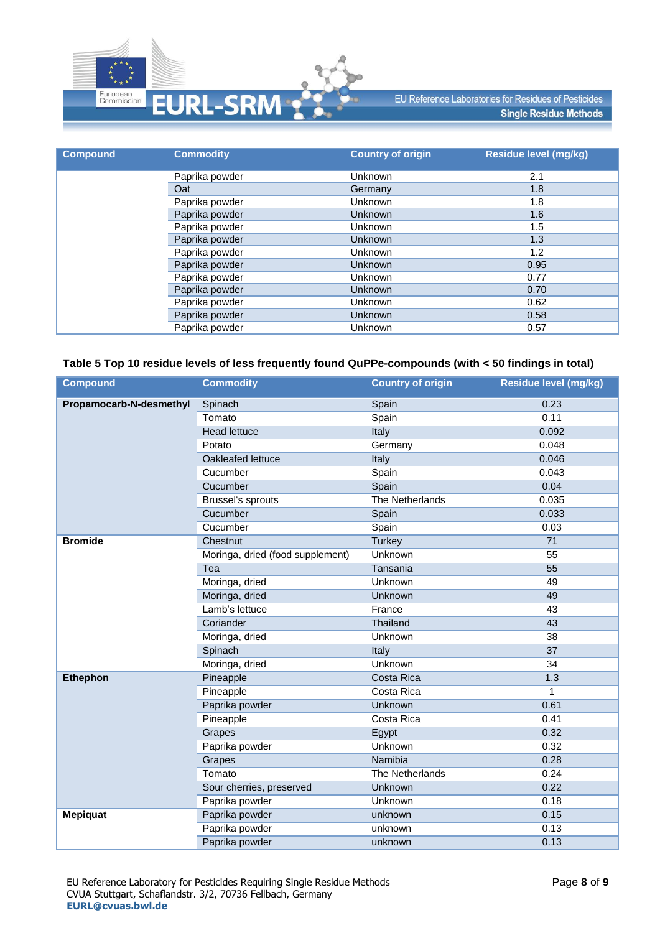

| <b>Compound</b> | <b>Commodity</b> | <b>Country of origin</b> | <b>Residue level (mg/kg)</b> |
|-----------------|------------------|--------------------------|------------------------------|
|                 | Paprika powder   | <b>Unknown</b>           | 2.1                          |
|                 | Oat              | Germany                  | 1.8                          |
|                 | Paprika powder   | <b>Unknown</b>           | 1.8                          |
|                 | Paprika powder   | <b>Unknown</b>           | 1.6                          |
|                 | Paprika powder   | <b>Unknown</b>           | 1.5                          |
|                 | Paprika powder   | <b>Unknown</b>           | 1.3                          |
|                 | Paprika powder   | <b>Unknown</b>           | 1.2                          |
|                 | Paprika powder   | <b>Unknown</b>           | 0.95                         |
|                 | Paprika powder   | Unknown                  | 0.77                         |
|                 | Paprika powder   | <b>Unknown</b>           | 0.70                         |
|                 | Paprika powder   | Unknown                  | 0.62                         |
|                 | Paprika powder   | <b>Unknown</b>           | 0.58                         |
|                 | Paprika powder   | Unknown                  | 0.57                         |

### **Table 5 Top 10 residue levels of less frequently found QuPPe-compounds (with < 50 findings in total)**

| <b>Compound</b>         | <b>Commodity</b>                 | <b>Country of origin</b> | Residue level (mg/kg) |
|-------------------------|----------------------------------|--------------------------|-----------------------|
| Propamocarb-N-desmethyl | Spinach                          | Spain                    | 0.23                  |
|                         | Tomato                           | Spain                    | 0.11                  |
|                         | <b>Head lettuce</b>              | Italy                    | 0.092                 |
|                         | Potato                           | Germany                  | 0.048                 |
|                         | Oakleafed lettuce                | Italy                    | 0.046                 |
|                         | Cucumber                         | Spain                    | 0.043                 |
|                         | Cucumber                         | Spain                    | 0.04                  |
|                         | Brussel's sprouts                | The Netherlands          | 0.035                 |
|                         | Cucumber                         | Spain                    | 0.033                 |
|                         | Cucumber                         | Spain                    | 0.03                  |
| <b>Bromide</b>          | Chestnut                         | <b>Turkey</b>            | 71                    |
|                         | Moringa, dried (food supplement) | Unknown                  | 55                    |
|                         | Tea                              | Tansania                 | 55                    |
|                         | Moringa, dried                   | Unknown                  | 49                    |
|                         | Moringa, dried                   | Unknown                  | 49                    |
|                         | Lamb's lettuce                   | France                   | 43                    |
|                         | Coriander                        | Thailand                 | 43                    |
|                         | Moringa, dried                   | <b>Unknown</b>           | 38                    |
|                         | Spinach                          | Italy                    | 37                    |
|                         | Moringa, dried                   | Unknown                  | 34                    |
| <b>Ethephon</b>         | Pineapple                        | Costa Rica               | 1.3                   |
|                         | Pineapple                        | Costa Rica               | $\mathbf{1}$          |
|                         | Paprika powder                   | <b>Unknown</b>           | 0.61                  |
|                         | Pineapple                        | Costa Rica               | 0.41                  |
|                         | Grapes                           | Egypt                    | 0.32                  |
|                         | Paprika powder                   | <b>Unknown</b>           | 0.32                  |
|                         | Grapes                           | Namibia                  | 0.28                  |
|                         | Tomato                           | The Netherlands          | 0.24                  |
|                         | Sour cherries, preserved         | Unknown                  | 0.22                  |
|                         | Paprika powder                   | Unknown                  | 0.18                  |
| <b>Mepiquat</b>         | Paprika powder                   | unknown                  | 0.15                  |
|                         | Paprika powder                   | unknown                  | 0.13                  |
|                         | Paprika powder                   | unknown                  | 0.13                  |